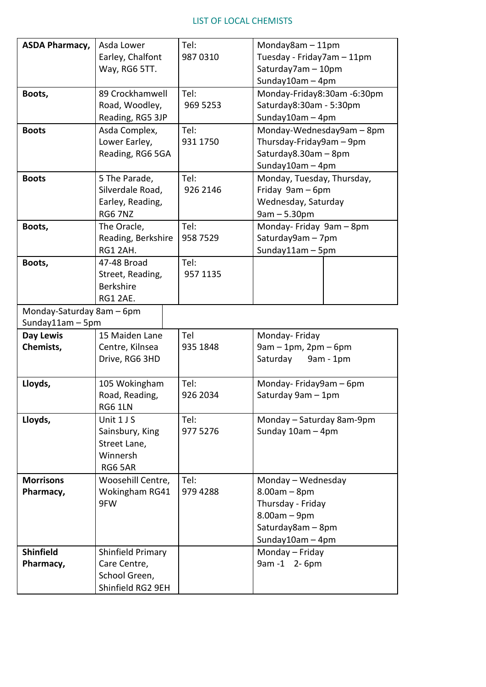## LIST OF LOCAL CHEMISTS

| <b>ASDA Pharmacy,</b>     | Asda Lower         | Tel:     | Monday8am $-11$ pm                                                                      |  |  |
|---------------------------|--------------------|----------|-----------------------------------------------------------------------------------------|--|--|
|                           | Earley, Chalfont   | 987 0310 | Tuesday - Friday7am - 11pm                                                              |  |  |
|                           | Way, RG6 5TT.      |          | Saturday7am - 10pm                                                                      |  |  |
|                           |                    |          | Sunday10am - 4pm                                                                        |  |  |
| Boots,                    | 89 Crockhamwell    | Tel:     | Monday-Friday8:30am-6:30pm                                                              |  |  |
|                           | Road, Woodley,     | 969 5253 | Saturday8:30am - 5:30pm<br>Sunday10am $-4$ pm                                           |  |  |
|                           | Reading, RG5 3JP   |          |                                                                                         |  |  |
| <b>Boots</b>              | Asda Complex,      | Tel:     | Monday-Wednesday9am - 8pm                                                               |  |  |
|                           | Lower Earley,      | 931 1750 | Thursday-Friday9am - 9pm                                                                |  |  |
|                           | Reading, RG6 5GA   |          | Saturday8.30am - 8pm                                                                    |  |  |
|                           |                    |          | Sunday10am - 4pm                                                                        |  |  |
| <b>Boots</b>              | 5 The Parade,      | Tel:     | Monday, Tuesday, Thursday,<br>Friday 9am - 6pm<br>Wednesday, Saturday<br>$9am - 5.30pm$ |  |  |
|                           | Silverdale Road,   | 926 2146 |                                                                                         |  |  |
|                           | Earley, Reading,   |          |                                                                                         |  |  |
|                           | <b>RG6 7NZ</b>     |          |                                                                                         |  |  |
| Boots,                    | The Oracle,        | Tel:     | Monday- Friday 9am - 8pm<br>Saturday9am - 7pm<br>Sunday11am $-5$ pm                     |  |  |
|                           | Reading, Berkshire | 958 7529 |                                                                                         |  |  |
|                           | RG1 2AH.           |          |                                                                                         |  |  |
| Boots,                    | 47-48 Broad        | Tel:     |                                                                                         |  |  |
|                           | Street, Reading,   | 957 1135 |                                                                                         |  |  |
|                           | <b>Berkshire</b>   |          |                                                                                         |  |  |
|                           | <b>RG1 2AE.</b>    |          |                                                                                         |  |  |
| Monday-Saturday 8am - 6pm |                    |          |                                                                                         |  |  |
| Sunday11am - 5pm          |                    |          |                                                                                         |  |  |
| <b>Day Lewis</b>          | 15 Maiden Lane     | Tel      | Monday- Friday<br>$9am - 1pm$ , $2pm - 6pm$                                             |  |  |
| Chemists,                 | Centre, Kilnsea    | 935 1848 |                                                                                         |  |  |
|                           | Drive, RG6 3HD     |          | Saturday 9am - 1pm                                                                      |  |  |
| Lloyds,                   | 105 Wokingham      | Tel:     |                                                                                         |  |  |
|                           | Road, Reading,     | 926 2034 | Monday-Friday9am-6pm<br>Saturday 9am - 1pm                                              |  |  |
|                           | <b>RG6 1LN</b>     |          |                                                                                         |  |  |
| Lloyds,                   | Unit 1 J S         | Tel:     | Monday - Saturday 8am-9pm                                                               |  |  |
|                           | Sainsbury, King    | 977 5276 | Sunday 10am - 4pm                                                                       |  |  |
|                           | Street Lane,       |          |                                                                                         |  |  |
|                           | Winnersh           |          |                                                                                         |  |  |
|                           | RG6 5AR            |          |                                                                                         |  |  |
| <b>Morrisons</b>          | Woosehill Centre,  | Tel:     | Monday - Wednesday                                                                      |  |  |
| Pharmacy,                 | Wokingham RG41     | 979 4288 | $8.00am - 8pm$<br>Thursday - Friday                                                     |  |  |
|                           | 9FW                |          |                                                                                         |  |  |
|                           |                    |          | $8.00am - 9pm$                                                                          |  |  |
|                           |                    |          | Saturday8am - 8pm                                                                       |  |  |
|                           |                    |          | Sunday10am $-4$ pm                                                                      |  |  |
| <b>Shinfield</b>          | Shinfield Primary  |          | Monday - Friday                                                                         |  |  |
| Pharmacy,                 | Care Centre,       |          | 9am -1 2-6pm                                                                            |  |  |
|                           | School Green,      |          |                                                                                         |  |  |
|                           | Shinfield RG2 9EH  |          |                                                                                         |  |  |